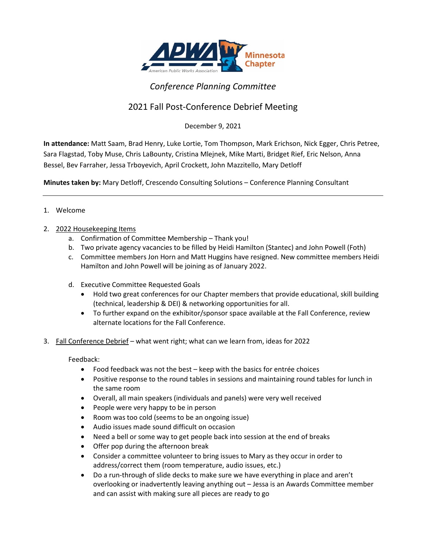

## *Conference Planning Committee*

## 2021 Fall Post-Conference Debrief Meeting

December 9, 2021

**In attendance:** Matt Saam, Brad Henry, Luke Lortie, Tom Thompson, Mark Erichson, Nick Egger, Chris Petree, Sara Flagstad, Toby Muse, Chris LaBounty, Cristina Mlejnek, Mike Marti, Bridget Rief, Eric Nelson, Anna Bessel, Bev Farraher, Jessa Trboyevich, April Crockett, John Mazzitello, Mary Detloff

**Minutes taken by:** Mary Detloff, Crescendo Consulting Solutions – Conference Planning Consultant

## 1. Welcome

## 2. 2022 Housekeeping Items

- a. Confirmation of Committee Membership Thank you!
- b. Two private agency vacancies to be filled by Heidi Hamilton (Stantec) and John Powell (Foth)
- c. Committee members Jon Horn and Matt Huggins have resigned. New committee members Heidi Hamilton and John Powell will be joining as of January 2022.
- d. Executive Committee Requested Goals
	- Hold two great conferences for our Chapter members that provide educational, skill building (technical, leadership & DEI) & networking opportunities for all.
	- To further expand on the exhibitor/sponsor space available at the Fall Conference, review alternate locations for the Fall Conference.
- 3. Fall Conference Debrief what went right; what can we learn from, ideas for 2022

Feedback:

- Food feedback was not the best keep with the basics for entrée choices
- Positive response to the round tables in sessions and maintaining round tables for lunch in the same room
- Overall, all main speakers (individuals and panels) were very well received
- People were very happy to be in person
- Room was too cold (seems to be an ongoing issue)
- Audio issues made sound difficult on occasion
- Need a bell or some way to get people back into session at the end of breaks
- Offer pop during the afternoon break
- Consider a committee volunteer to bring issues to Mary as they occur in order to address/correct them (room temperature, audio issues, etc.)
- Do a run-through of slide decks to make sure we have everything in place and aren't overlooking or inadvertently leaving anything out – Jessa is an Awards Committee member and can assist with making sure all pieces are ready to go